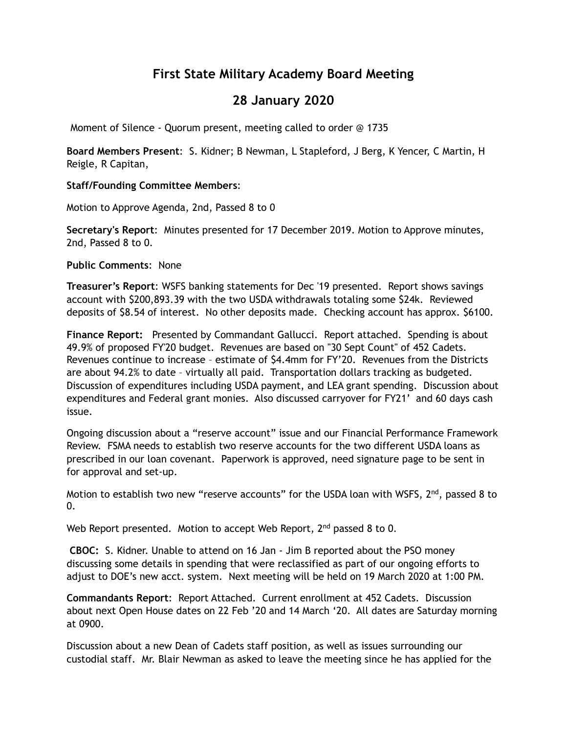# **First State Military Academy Board Meeting**

## **28 January 2020**

Moment of Silence - Quorum present, meeting called to order @ 1735

**Board Members Present**: S. Kidner; B Newman, L Stapleford, J Berg, K Yencer, C Martin, H Reigle, R Capitan,

#### **Staff/Founding Committee Members**:

Motion to Approve Agenda, 2nd, Passed 8 to 0

**Secretary's Report**: Minutes presented for 17 December 2019. Motion to Approve minutes, 2nd, Passed 8 to 0.

**Public Comments**: None

**Treasurer's Report**: WSFS banking statements for Dec '19 presented. Report shows savings account with \$200,893.39 with the two USDA withdrawals totaling some \$24k. Reviewed deposits of \$8.54 of interest. No other deposits made. Checking account has approx. \$6100.

**Finance Report:** Presented by Commandant Gallucci. Report attached. Spending is about 49.9% of proposed FY'20 budget. Revenues are based on "30 Sept Count" of 452 Cadets. Revenues continue to increase – estimate of \$4.4mm for FY'20. Revenues from the Districts are about 94.2% to date – virtually all paid. Transportation dollars tracking as budgeted. Discussion of expenditures including USDA payment, and LEA grant spending. Discussion about expenditures and Federal grant monies. Also discussed carryover for FY21' and 60 days cash issue.

Ongoing discussion about a "reserve account" issue and our Financial Performance Framework Review. FSMA needs to establish two reserve accounts for the two different USDA loans as prescribed in our loan covenant. Paperwork is approved, need signature page to be sent in for approval and set-up.

Motion to establish two new "reserve accounts" for the USDA loan with WSFS,  $2^{nd}$ , passed 8 to  $0<sub>l</sub>$ 

Web Report presented. Motion to accept Web Report,  $2<sup>nd</sup>$  passed 8 to 0.

**CBOC:** S. Kidner. Unable to attend on 16 Jan - Jim B reported about the PSO money discussing some details in spending that were reclassified as part of our ongoing efforts to adjust to DOE's new acct. system. Next meeting will be held on 19 March 2020 at 1:00 PM.

**Commandants Report**: Report Attached. Current enrollment at 452 Cadets. Discussion about next Open House dates on 22 Feb '20 and 14 March '20. All dates are Saturday morning at 0900.

Discussion about a new Dean of Cadets staff position, as well as issues surrounding our custodial staff. Mr. Blair Newman as asked to leave the meeting since he has applied for the